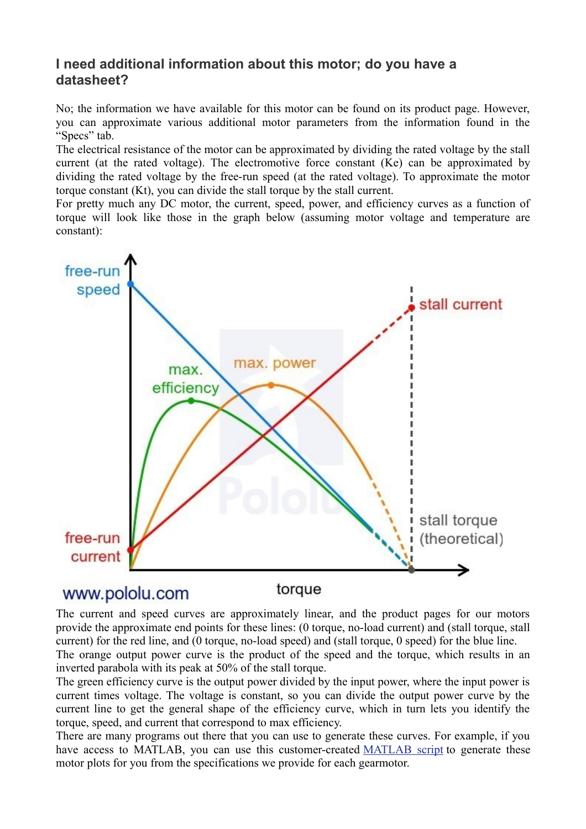## **I need additional information about this motor; do you have a datasheet?**

No; the information we have available for this motor can be found on its product page. However, you can approximate various additional motor parameters from the information found in the "Specs" tab.

The electrical resistance of the motor can be approximated by dividing the rated voltage by the stall current (at the rated voltage). The electromotive force constant (Ke) can be approximated by dividing the rated voltage by the free-run speed (at the rated voltage). To approximate the motor torque constant (Kt), you can divide the stall torque by the stall current.

For pretty much any DC motor, the current, speed, power, and efficiency curves as a function of torque will look like those in the graph below (assuming motor voltage and temperature are constant):



## www.pololu.com



The current and speed curves are approximately linear, and the product pages for our motors provide the approximate end points for these lines: (0 torque, no-load current) and (stall torque, stall current) for the red line, and (0 torque, no-load speed) and (stall torque, 0 speed) for the blue line.

The orange output power curve is the product of the speed and the torque, which results in an inverted parabola with its peak at 50% of the stall torque.

The green efficiency curve is the output power divided by the input power, where the input power is current times voltage. The voltage is constant, so you can divide the output power curve by the current line to get the general shape of the efficiency curve, which in turn lets you identify the torque, speed, and current that correspond to max efficiency.

There are many programs out there that you can use to generate these curves. For example, if you have access to MATLAB, you can use this customer-created [MATLAB script](https://www.mathworks.com/matlabcentral/fileexchange/54695-motor-plots-for-pololu-dc-motors--or-any-general-motor) to generate these motor plots for you from the specifications we provide for each gearmotor.